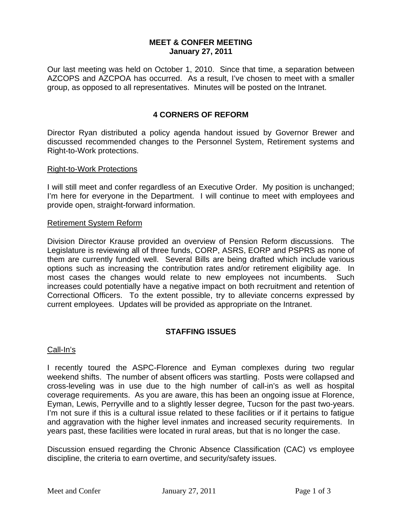## **MEET & CONFER MEETING January 27, 2011**

Our last meeting was held on October 1, 2010. Since that time, a separation between AZCOPS and AZCPOA has occurred. As a result, I've chosen to meet with a smaller group, as opposed to all representatives. Minutes will be posted on the Intranet.

# **4 CORNERS OF REFORM**

Director Ryan distributed a policy agenda handout issued by Governor Brewer and discussed recommended changes to the Personnel System, Retirement systems and Right-to-Work protections.

### Right-to-Work Protections

I will still meet and confer regardless of an Executive Order. My position is unchanged; I'm here for everyone in the Department. I will continue to meet with employees and provide open, straight-forward information.

#### Retirement System Reform

Division Director Krause provided an overview of Pension Reform discussions. The Legislature is reviewing all of three funds, CORP, ASRS, EORP and PSPRS as none of them are currently funded well. Several Bills are being drafted which include various options such as increasing the contribution rates and/or retirement eligibility age. In most cases the changes would relate to new employees not incumbents. Such increases could potentially have a negative impact on both recruitment and retention of Correctional Officers. To the extent possible, try to alleviate concerns expressed by current employees. Updates will be provided as appropriate on the Intranet.

# **STAFFING ISSUES**

### Call-In's

I recently toured the ASPC-Florence and Eyman complexes during two regular weekend shifts. The number of absent officers was startling. Posts were collapsed and cross-leveling was in use due to the high number of call-in's as well as hospital coverage requirements. As you are aware, this has been an ongoing issue at Florence, Eyman, Lewis, Perryville and to a slightly lesser degree, Tucson for the past two-years. I'm not sure if this is a cultural issue related to these facilities or if it pertains to fatigue and aggravation with the higher level inmates and increased security requirements. In years past, these facilities were located in rural areas, but that is no longer the case.

Discussion ensued regarding the Chronic Absence Classification (CAC) vs employee discipline, the criteria to earn overtime, and security/safety issues.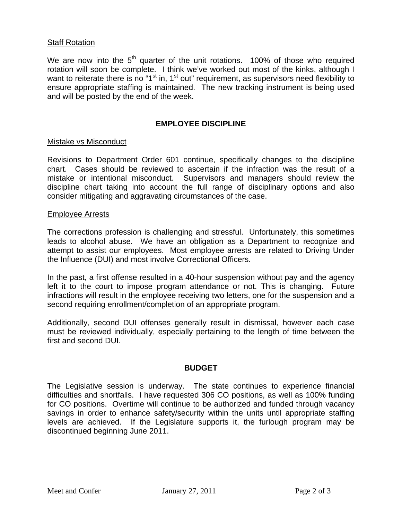## **Staff Rotation**

We are now into the  $5<sup>th</sup>$  quarter of the unit rotations. 100% of those who required rotation will soon be complete. I think we've worked out most of the kinks, although I want to reiterate there is no "1<sup>st</sup> in, 1<sup>st</sup> out" requirement, as supervisors need flexibility to ensure appropriate staffing is maintained. The new tracking instrument is being used and will be posted by the end of the week.

## **EMPLOYEE DISCIPLINE**

### Mistake vs Misconduct

Revisions to Department Order 601 continue, specifically changes to the discipline chart. Cases should be reviewed to ascertain if the infraction was the result of a mistake or intentional misconduct. Supervisors and managers should review the discipline chart taking into account the full range of disciplinary options and also consider mitigating and aggravating circumstances of the case.

#### Employee Arrests

The corrections profession is challenging and stressful. Unfortunately, this sometimes leads to alcohol abuse. We have an obligation as a Department to recognize and attempt to assist our employees. Most employee arrests are related to Driving Under the Influence (DUI) and most involve Correctional Officers.

In the past, a first offense resulted in a 40-hour suspension without pay and the agency left it to the court to impose program attendance or not. This is changing. Future infractions will result in the employee receiving two letters, one for the suspension and a second requiring enrollment/completion of an appropriate program.

Additionally, second DUI offenses generally result in dismissal, however each case must be reviewed individually, especially pertaining to the length of time between the first and second DUI.

### **BUDGET**

The Legislative session is underway. The state continues to experience financial difficulties and shortfalls. I have requested 306 CO positions, as well as 100% funding for CO positions. Overtime will continue to be authorized and funded through vacancy savings in order to enhance safety/security within the units until appropriate staffing levels are achieved. If the Legislature supports it, the furlough program may be discontinued beginning June 2011.